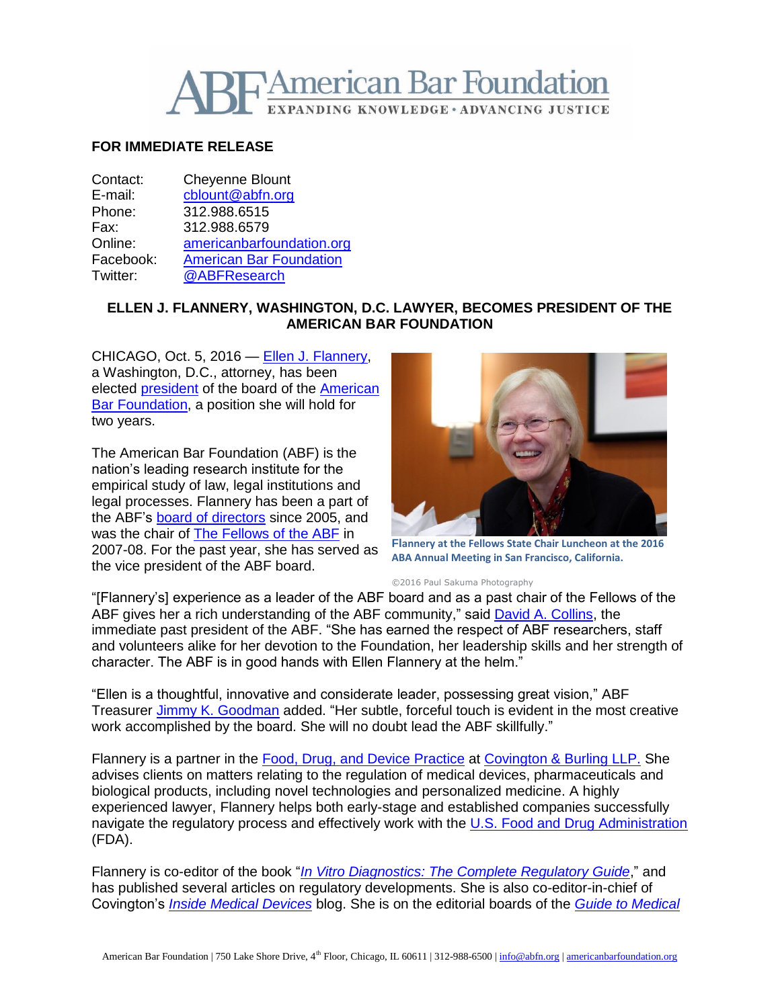

# **FOR IMMEDIATE RELEASE**

| Contact:  | <b>Cheyenne Blount</b>         |
|-----------|--------------------------------|
| E-mail:   | cblount@abfn.org               |
| Phone:    | 312.988.6515                   |
| Fax:      | 312.988.6579                   |
| Online:   | americanbarfoundation.org      |
| Facebook: | <b>American Bar Foundation</b> |
| Twitter:  | @ABFResearch                   |
|           |                                |

## **ELLEN J. FLANNERY, WASHINGTON, D.C. LAWYER, BECOMES PRESIDENT OF THE AMERICAN BAR FOUNDATION**

CHICAGO, Oct. 5, 2016 — [Ellen J. Flannery,](https://www.cov.com/en/professionals/f/ellen-flannery) a Washington, D.C., attorney, has been elected [president](http://www.americanbarfoundation.org/about/Officersdirectors.html) of the board of the [American](http://www.americanbarfoundation.org/)  [Bar Foundation,](http://www.americanbarfoundation.org/) a position she will hold for two years.

The American Bar Foundation (ABF) is the nation's leading research institute for the empirical study of law, legal institutions and legal processes. Flannery has been a part of the ABF's board [of directors](http://www.americanbarfoundation.org/about/Officersdirectors/Board_of_Directors0.html) since 2005, and was the chair of [The Fellows of the ABF](http://www.americanbarfoundation.org/fellows/index.html) in 2007-08. For the past year, she has served as the vice president of the ABF board.



**Flannery at the Fellows State Chair Luncheon at the 2016 ABA Annual Meeting in San Francisco, California.**

#### ©2016 Paul Sakuma Photography

"[Flannery's] experience as a leader of the ABF board and as a past chair of the Fellows of the ABF gives her a rich understanding of the ABF community," said [David A. Collins,](http://www.americanbarfoundation.org/about/Officersdirectors/President.html) the immediate past president of the ABF. "She has earned the respect of ABF researchers, staff and volunteers alike for her devotion to the Foundation, her leadership skills and her strength of character. The ABF is in good hands with Ellen Flannery at the helm."

"Ellen is a thoughtful, innovative and considerate leader, possessing great vision," ABF Treasurer [Jimmy K. Goodman](http://attorneysuscrowedunlevy.com/AttorneysDetail.aspx?id=32) added. "Her subtle, forceful touch is evident in the most creative work accomplished by the board. She will no doubt lead the ABF skillfully."

Flannery is a partner in the [Food, Drug, and Device Practice](https://www.cov.com/en/practices-and-industries/practices/regulatory-and-public-policy/food-drug-and-device) at [Covington & Burling LLP.](https://www.cov.com/) She advises clients on matters relating to the regulation of medical devices, pharmaceuticals and biological products, including novel technologies and personalized medicine. A highly experienced lawyer, Flannery helps both early-stage and established companies successfully navigate the regulatory process and effectively work with the [U.S. Food and Drug Administration](http://www.fda.gov/default.htm) (FDA).

Flannery is co-editor of the book "*[In Vitro Diagnostics: The Complete Regulatory Guide](http://www.fdli.org/resources/resources-order-box-detail-view/in-vitro-diagnostics-the-complete-regulatory-guide)*," and has published several articles on regulatory developments. She is also co-editor-in-chief of Covington's *[Inside Medical Devices](https://www.insidemedicaldevices.com/)* blog. She is on the editorial boards of the *[Guide to Medical](https://www.thompson.com/public/offerpage.jsp?prod=XRAY)*